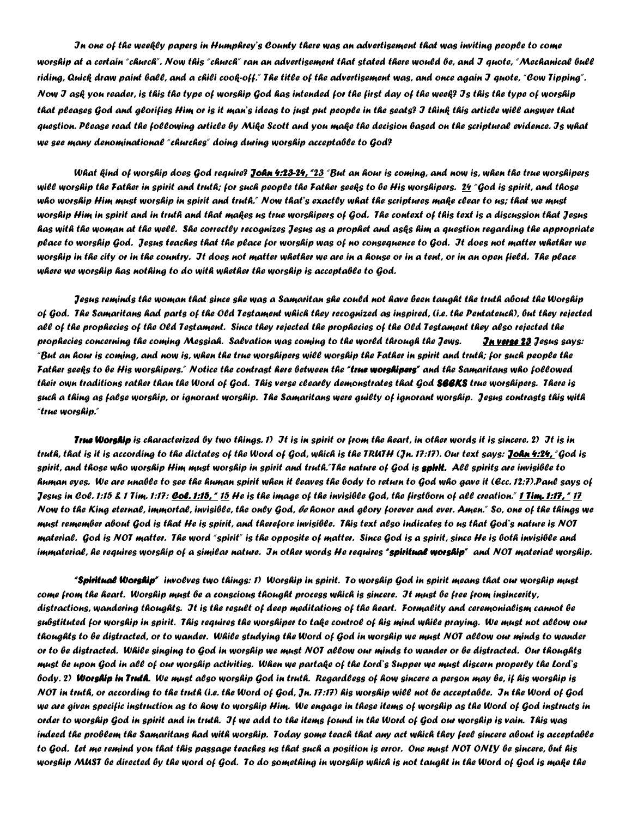*In one of the weekly papers in Humphrey's County there was an advertisement that was inviting people to come worship at a certain "church". Now this "church" ran an advertisement that stated there would be, and I quote, "Mechanical bull riding, Quick draw paint ball, and a chili cook-off." The title of the advertisement was, and once again I quote, "Cow Tipping". Now I ask you reader, is this the type of worship God has intended for the first day of the week? Is this the type of worship that pleases God and glorifies Him or is it man's ideas to just put people in the seats? I think this article will answer that question. Please read the following article by Mike Scott and you make the decision based on the scriptural evidence. Is what we see many denominational "churches" doing during worship acceptable to God?* 

*What kind of worship does God require*? Jo**hn 4:23.24, "**23 "But an hour is coming, and now is, when the true worshipers *will worship the Father in spirit and truth; for such people the Father seeks to be His worshipers. 24 "God is spirit, and those who worship Him must worship in spirit and truth." Now that's exactly what the scriptures make clear to us; that we must worship Him in spirit and in truth and that makes us true worshipers of God. The context of this text is a discussion that Jesus has with the woman at the well. She correctly recognizes Jesus as a prophet and asks him a question regarding the appropriate place to worship God. Jesus teaches that the place for worship was of no consequence to God. It does not matter whether we worship in the city or in the country. It does not matter whether we are in a house or in a tent, or in an open field. The place where we worship has nothing to do with whether the worship is acceptable to God.* 

*Jesus reminds the woman that since she was a Samaritan she could not have been taught the truth about the Worship of God. The Samaritans had parts of the Old Testament which they recognized as inspired, (i.e. the Pentateuch), but they rejected all of the prophecies of the Old Testament. Since they rejected the prophecies of the Old Testament they also rejected the prophecies concerning the coming Messiah. Salvation was coming to the world through the Jews. In verse 23 In verse 23 Jesus says: "But an hour is coming, and now is, when the true worshipers will worship the Father in spirit and truth; for such people the Father seeks to be His worshipers." Notice the contrast here between the "true worshipers" "true worshipers""true worshipers" and the Samaritans who followed their own traditions rather than the Word of God. This verse clearly demonstrates that God SEEKS true worshipers. There is such a thing as false worship, or ignorant worship. The Samaritans were guilty of ignorant worship. Jesus contrasts this with "true worship."* 

*True Worship is characterized by two things. 1) It is in sp Worship irit or from the heart, in other words it is sincere. 2) It is in truth, that is it is according to the dictates of the Word of God, which is the TRUTH (Jn. 17:17). Our text says: John 4:24, John 4:24, "God is spirit, and those who worship Him must worship in spirit and truth."The nature of God is spirit. spirit. All spirits are invisible to human eyes. We are unable to see the human spirit when it leaves the body to return to God who gave it (Ecc. 12:7).Paul says of Jesus in Col. 1:15 & 1 Tim. 1:17: Col. 1:15, " Col. 1:15, " 15 He is the image of the invisible God, the firstborn of all creation." 1 Tim. 1:17, " 1:17, " 17 Now to the King eternal, immortal, invisible, the only God, be honor and glory forever and ever. Amen." So, one of the things we must remember about God is that He is spirit, and therefore invisible. This text also indicates to us that God's nature is NOT material. God is NOT matter. The word "spirit" is the opposite of matter. Since God is a spirit, since He is both invisible and immaterial, he requires worship of a similar nature. In other words He requires "spiritual worship" "spiritual worship" worship" and NOT material worship.* 

 *"Spiritual Worship" Worship" Worship" involves two things: 1) Worship in spirit. To worship God in spirit means that our worship must come from the heart. Worship must be a conscious thought process which is sincere. It must be free from insincerity, distractions, wandering thoughts. It is the result of deep meditations of the heart. Formality and ceremonialism cannot be substituted for worship in spirit. This requires the worshiper to take control of his mind while praying. We must not allow our thoughts to be distracted, or to wander. While studying the Word of God in worship we must NOT allow our minds to wander or to be distracted. While singing to God in worship we must NOT allow our minds to wander or be distracted. Our thoughts must be upon God in all of our worship activities. When we partake of the Lord's Supper we must discern properly the Lord's body. 2) Worship in Truth. Worship Truth. We must also worship God in truth. Regardless of how sincere a person may be, if his worship is NOT in truth, or according to the truth (i.e. the Word of God, Jn. 17:17) his worship will not be acceptable. In the Word of God we are given specific instruction as to how to worship Him. We engage in these items of worship as the Word of God instructs in order to worship God in spirit and in truth. If we add to the items found in the Word of God our worship is vain. This was indeed the problem the Samaritans had with worship. Today some teach that any act which they feel sincere about is acceptable to God. Let me remind you that this passage teaches us that such a position is error. One must NOT ONLY be sincere, but his worship MUST be directed by the word of God. To do something in worship which is not taught in the Word of God is make the*